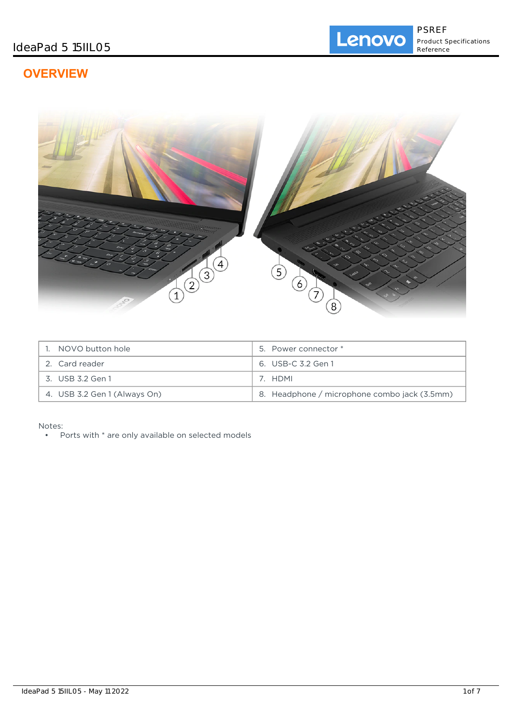# **OVERVIEW**



| 1. NOVO button hole          | 5. Power connector *                         |
|------------------------------|----------------------------------------------|
| 2. Card reader               | 6. USB-C 3.2 Gen 1                           |
| 3. USB 3.2 Gen 1             | 7. HDMI                                      |
| 4. USB 3.2 Gen 1 (Always On) | 8. Headphone / microphone combo jack (3.5mm) |

Notes:

• Ports with \* are only available on selected models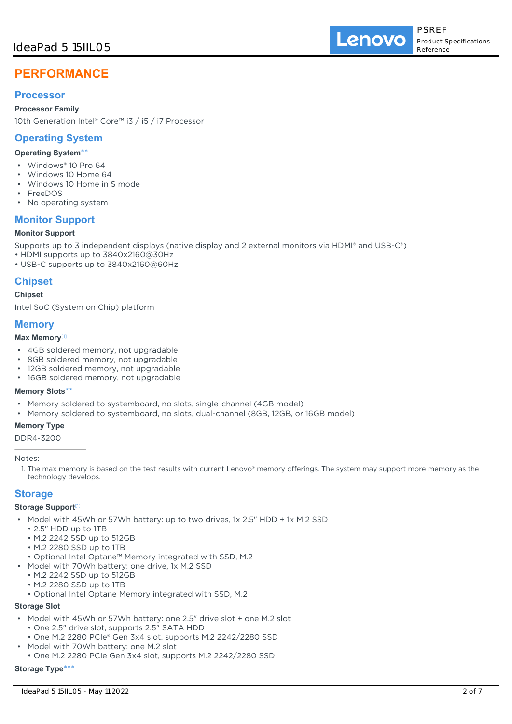# **PERFORMANCE**

## **Processor**

#### **Processor Family**

10th Generation Intel® Core™ i3 / i5 / i7 Processor

## **Operating System**

#### **Operating System**\*\*

- Windows® 10 Pro 64
- Windows 10 Home 64
- Windows 10 Home in S mode
- FreeDOS
- No operating system

## **Monitor Support**

#### **Monitor Support**

Supports up to 3 independent displays (native display and 2 external monitors via HDMI® and USB-C®)

- HDMI supports up to 3840x2160@30Hz
- USB-C supports up to 3840x2160@60Hz

## **Chipset**

#### **Chipset**

Intel SoC (System on Chip) platform

## **Memory**

#### **Max Memory**[1]

- 4GB soldered memory, not upgradable
- 8GB soldered memory, not upgradable
- 12GB soldered memory, not upgradable
- 16GB soldered memory, not upgradable

#### **Memory Slots**\*\*

- Memory soldered to systemboard, no slots, single-channel (4GB model)
- Memory soldered to systemboard, no slots, dual-channel (8GB, 12GB, or 16GB model)

#### **Memory Type**

DDR4-3200

Notes:

1. The max memory is based on the test results with current Lenovo® memory offerings. The system may support more memory as the technology develops.

### **Storage**

#### **Storage Support**[1]

- Model with 45Wh or 57Wh battery: up to two drives, 1x 2.5" HDD + 1x M.2 SSD
	- 2.5" HDD up to 1TB
	- M.2 2242 SSD up to 512GB
	- M.2 2280 SSD up to 1TB
	- Optional Intel Optane™ Memory integrated with SSD, M.2
- Model with 70Wh battery: one drive, 1x M.2 SSD
	- M.2 2242 SSD up to 512GB
	- M.2 2280 SSD up to 1TB
	- Optional Intel Optane Memory integrated with SSD, M.2

### **Storage Slot**

- Model with 45Wh or 57Wh battery: one 2.5" drive slot + one M.2 slot • One 2.5" drive slot, supports 2.5" SATA HDD
	- One M.2 2280 PCIe® Gen 3x4 slot, supports M.2 2242/2280 SSD
- Model with 70Wh battery: one M.2 slot
	- One M.2 2280 PCIe Gen 3x4 slot, supports M.2 2242/2280 SSD

## **Storage Type**\*\*\*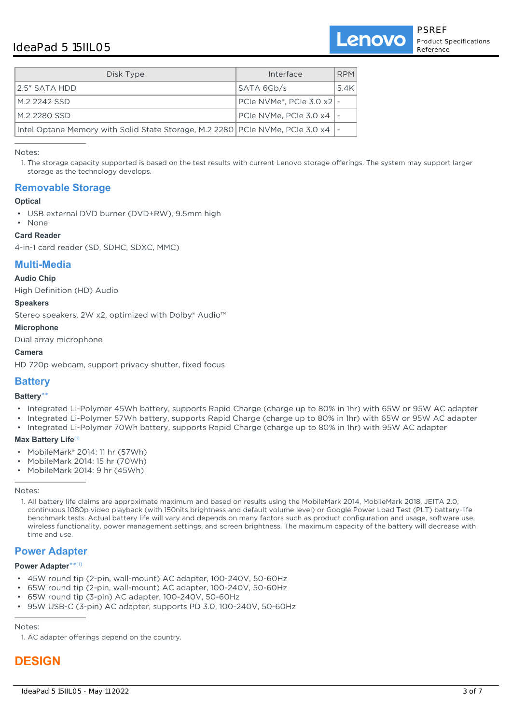## IdeaPad 5 15IIL05

Lenovo

| Disk Type                                                                        | Interface                                      | <b>RPM</b> |
|----------------------------------------------------------------------------------|------------------------------------------------|------------|
| 2.5" SATA HDD                                                                    | SATA 6Gb/s                                     | 5.4K       |
| M.2 2242 SSD                                                                     | PCIe NVMe <sup>®</sup> , PCIe 3.0 $\times$ 2 - |            |
| M.2 2280 SSD                                                                     | PCIe NVMe, PCIe 3.0 $\times$ 4  -              |            |
| Intel Optane Memory with Solid State Storage, M.2 2280 PCIe NVMe, PCIe 3.0 x4  - |                                                |            |

Notes:

1. The storage capacity supported is based on the test results with current Lenovo storage offerings. The system may support larger storage as the technology develops.

## **Removable Storage**

#### **Optical**

• USB external DVD burner (DVD±RW), 9.5mm high

## • None

### **Card Reader**

4-in-1 card reader (SD, SDHC, SDXC, MMC)

## **Multi-Media**

#### **Audio Chip**

High Definition (HD) Audio

#### **Speakers**

Stereo speakers, 2W x2, optimized with Dolby® Audio™

#### **Microphone**

Dual array microphone

#### **Camera**

HD 720p webcam, support privacy shutter, fixed focus

## **Battery**

#### **Battery**\*\*

- Integrated Li-Polymer 45Wh battery, supports Rapid Charge (charge up to 80% in 1hr) with 65W or 95W AC adapter
- Integrated Li-Polymer 57Wh battery, supports Rapid Charge (charge up to 80% in 1hr) with 65W or 95W AC adapter
- Integrated Li-Polymer 70Wh battery, supports Rapid Charge (charge up to 80% in 1hr) with 95W AC adapter

#### **Max Battery Life**[1]

- MobileMark® 2014: 11 hr (57Wh)
- MobileMark 2014: 15 hr (70Wh)
- MobileMark 2014: 9 hr (45Wh)

#### Notes:

1. All battery life claims are approximate maximum and based on results using the MobileMark 2014, MobileMark 2018, JEITA 2.0, continuous 1080p video playback (with 150nits brightness and default volume level) or Google Power Load Test (PLT) battery-life benchmark tests. Actual battery life will vary and depends on many factors such as product configuration and usage, software use, wireless functionality, power management settings, and screen brightness. The maximum capacity of the battery will decrease with time and use.

## **Power Adapter**

#### **Power Adapter**\*\* [1]

- 45W round tip (2-pin, wall-mount) AC adapter, 100-240V, 50-60Hz
- 65W round tip (2-pin, wall-mount) AC adapter, 100-240V, 50-60Hz
- 65W round tip (3-pin) AC adapter, 100-240V, 50-60Hz
- 95W USB-C (3-pin) AC adapter, supports PD 3.0, 100-240V, 50-60Hz

Notes:

1. AC adapter offerings depend on the country.

# **DESIGN**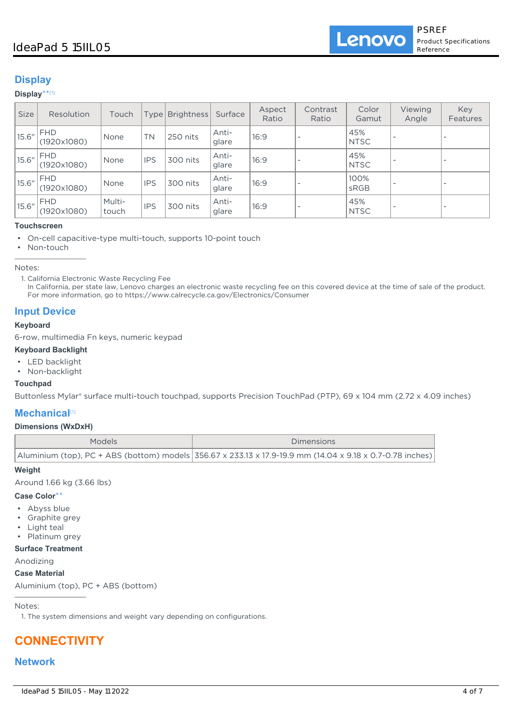## IdeaPad 5 15IIL05

**Lenovo** 

## **Display**

#### **Display**\*\* [1]

| <b>Size</b> | Resolution                | Touch           | Type       | <b>Brightness</b> | Surface        | Aspect<br>Ratio | Contrast<br>Ratio        | Color<br>Gamut     | Viewing<br>Angle | Key<br>Features          |
|-------------|---------------------------|-----------------|------------|-------------------|----------------|-----------------|--------------------------|--------------------|------------------|--------------------------|
| 15.6''      | <b>FHD</b><br>(1920x1080) | None            | <b>TN</b>  | 250 nits          | Anti-<br>glare | 16:9            |                          | 45%<br><b>NTSC</b> |                  | $\overline{\phantom{a}}$ |
| 15.6''      | <b>FHD</b><br>(1920x1080) | None            | <b>IPS</b> | 300 nits          | Anti-<br>glare | 16:9            |                          | 45%<br><b>NTSC</b> |                  | $\overline{\phantom{a}}$ |
| 15.6''      | <b>FHD</b><br>(1920x1080) | None            | <b>IPS</b> | 300 nits          | Anti-<br>glare | 16:9            | $\overline{\phantom{a}}$ | 100%<br>sRGB       |                  | $\overline{\phantom{a}}$ |
| 15.6"       | FHD<br>(1920x1080)        | Multi-<br>touch | <b>IPS</b> | 300 nits          | Anti-<br>glare | 16:9            | $\overline{\phantom{a}}$ | 45%<br><b>NTSC</b> |                  | $\overline{\phantom{a}}$ |

#### **Touchscreen**

• On-cell capacitive-type multi-touch, supports 10-point touch

• Non-touch

Notes:

In California, per state law, Lenovo charges an electronic waste recycling fee on this covered device at the time of sale of the product. For more information, go to https://www.calrecycle.ca.gov/Electronics/Consumer

## **Input Device**

#### **Keyboard**

6-row, multimedia Fn keys, numeric keypad

#### **Keyboard Backlight**

- LED backlight
- Non-backlight

#### **Touchpad**

Buttonless Mylar® surface multi-touch touchpad, supports Precision TouchPad (PTP), 69 x 104 mm (2.72 x 4.09 inches)

## **Mechanical**[1]

#### **Dimensions (WxDxH)**

| Models | Dimensions                                                                                                |
|--------|-----------------------------------------------------------------------------------------------------------|
|        | Aluminium (top), PC + ABS (bottom) models 356.67 x 233.13 x 17.9-19.9 mm (14.04 x 9.18 x 0.7-0.78 inches) |

#### **Weight**

Around 1.66 kg (3.66 lbs)

#### **Case Color**\*\*

- Abyss blue
- Graphite grey
- Light teal
- Platinum grey

### **Surface Treatment**

Anodizing

#### **Case Material**

Aluminium (top), PC + ABS (bottom)

#### Notes:

1. The system dimensions and weight vary depending on configurations.

# **CONNECTIVITY**

### **Network**

<sup>1.</sup> California Electronic Waste Recycling Fee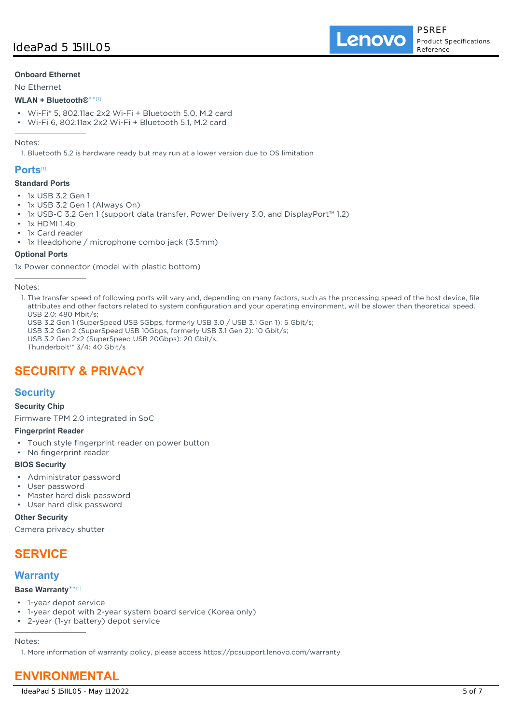Lenovo

#### **Onboard Ethernet**

No Ethernet

#### **WLAN + Bluetooth®**\*\* [1]

- Wi-Fi® 5, 802.11ac 2x2 Wi-Fi + Bluetooth 5.0, M.2 card
- Wi-Fi 6, 802.11ax 2x2 Wi-Fi + Bluetooth 5.1, M.2 card

#### Notes:

1. Bluetooth 5.2 is hardware ready but may run at a lower version due to OS limitation

### **Ports**[1]

#### **Standard Ports**

- 1x USB 3.2 Gen 1
- 1x USB 3.2 Gen 1 (Always On)
- 1x USB-C 3.2 Gen 1 (support data transfer, Power Delivery 3.0, and DisplayPort™ 1.2)
- 1x HDMI 1.4b
- 1x Card reader
- 1x Headphone / microphone combo jack (3.5mm)

#### **Optional Ports**

1x Power connector (model with plastic bottom)

- USB 3.2 Gen 1 (SuperSpeed USB 5Gbps, formerly USB 3.0 / USB 3.1 Gen 1): 5 Gbit/s;
- USB 3.2 Gen 2 (SuperSpeed USB 10Gbps, formerly USB 3.1 Gen 2): 10 Gbit/s;
- USB 3.2 Gen 2x2 (SuperSpeed USB 20Gbps): 20 Gbit/s;
- Thunderbolt™ 3/4: 40 Gbit/s

# **SECURITY & PRIVACY**

## **Security**

#### **Security Chip**

Firmware TPM 2.0 integrated in SoC

#### **Fingerprint Reader**

- Touch style fingerprint reader on power button
- No fingerprint reader

#### **BIOS Security**

- Administrator password
- User password
- Master hard disk password
- User hard disk password

#### **Other Security**

Camera privacy shutter

## **SERVICE**

## **Warranty**

#### **Base Warranty**\*\* [1]

- 1-year depot service
- 1-year depot with 2-year system board service (Korea only)
- 2-year (1-yr battery) depot service

Notes:

1. More information of warranty policy, please access https://pcsupport.lenovo.com/warranty

# **ENVIRONMENTAL**

Notes:

<sup>1.</sup> The transfer speed of following ports will vary and, depending on many factors, such as the processing speed of the host device, file attributes and other factors related to system configuration and your operating environment, will be slower than theoretical speed. USB 2.0: 480 Mbit/s;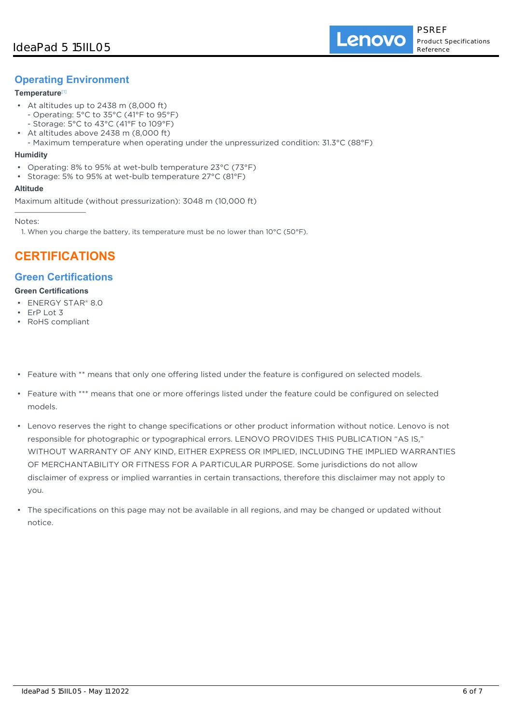## **Operating Environment**

### **Temperature**[1]

- At altitudes up to 2438 m (8,000 ft) - Operating: 5°C to 35°C (41°F to 95°F)
	- Storage: 5°C to 43°C (41°F to 109°F)
- At altitudes above 2438 m (8,000 ft) •
- Maximum temperature when operating under the unpressurized condition: 31.3°C (88°F)

#### **Humidity**

- Operating: 8% to 95% at wet-bulb temperature 23°C (73°F)
- Storage: 5% to 95% at wet-bulb temperature 27°C (81°F)

#### **Altitude**

Maximum altitude (without pressurization): 3048 m (10,000 ft)

Notes:

1. When you charge the battery, its temperature must be no lower than  $10^{\circ}$ C (50 $^{\circ}$ F).

# **CERTIFICATIONS**

## **Green Certifications**

#### **Green Certifications**

- ENERGY STAR® 8.0
- ErP Lot 3
- RoHS compliant
- Feature with \*\* means that only one offering listed under the feature is configured on selected models.
- Feature with \*\*\* means that one or more offerings listed under the feature could be configured on selected models.
- Lenovo reserves the right to change specifications or other product information without notice. Lenovo is not responsible for photographic or typographical errors. LENOVO PROVIDES THIS PUBLICATION "AS IS," WITHOUT WARRANTY OF ANY KIND, EITHER EXPRESS OR IMPLIED, INCLUDING THE IMPLIED WARRANTIES OF MERCHANTABILITY OR FITNESS FOR A PARTICULAR PURPOSE. Some jurisdictions do not allow disclaimer of express or implied warranties in certain transactions, therefore this disclaimer may not apply to you.
- The specifications on this page may not be available in all regions, and may be changed or updated without notice.